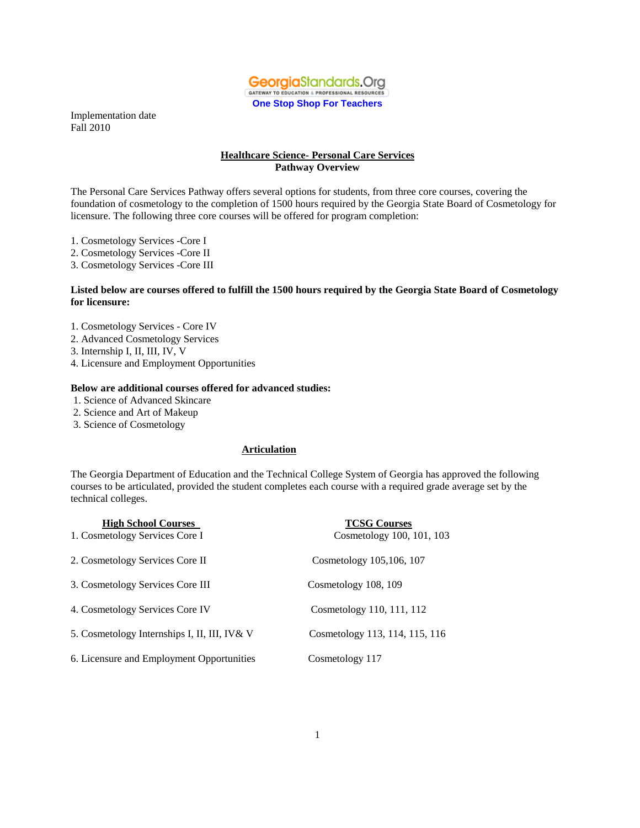

#### **Healthcare Science- Personal Care Services Pathway Overview**

The Personal Care Services Pathway offers several options for students, from three core courses, covering the foundation of cosmetology to the completion of 1500 hours required by the Georgia State Board of Cosmetology for licensure. The following three core courses will be offered for program completion:

- 1. Cosmetology Services -Core I
- 2. Cosmetology Services -Core II
- 3. Cosmetology Services -Core III

#### **Listed below are courses offered to fulfill the 1500 hours required by the Georgia State Board of Cosmetology for licensure:**

- 1. Cosmetology Services Core IV
- 2. Advanced Cosmetology Services
- 3. Internship I, II, III, IV, V
- 4. Licensure and Employment Opportunities

#### **Below are additional courses offered for advanced studies:**

- 1. Science of Advanced Skincare
- 2. Science and Art of Makeup
- 3. Science of Cosmetology

#### **Articulation**

The Georgia Department of Education and the Technical College System of Georgia has approved the following courses to be articulated, provided the student completes each course with a required grade average set by the technical colleges.

| <b>High School Courses</b>                   | <b>TCSG Courses</b>            |
|----------------------------------------------|--------------------------------|
| 1. Cosmetology Services Core I               | Cosmetology 100, 101, 103      |
| 2. Cosmetology Services Core II              | Cosmetology 105,106, 107       |
| 3. Cosmetology Services Core III             | Cosmetology 108, 109           |
| 4. Cosmetology Services Core IV              | Cosmetology 110, 111, 112      |
| 5. Cosmetology Internships I, II, III, IV& V | Cosmetology 113, 114, 115, 116 |
| 6. Licensure and Employment Opportunities    | Cosmetology 117                |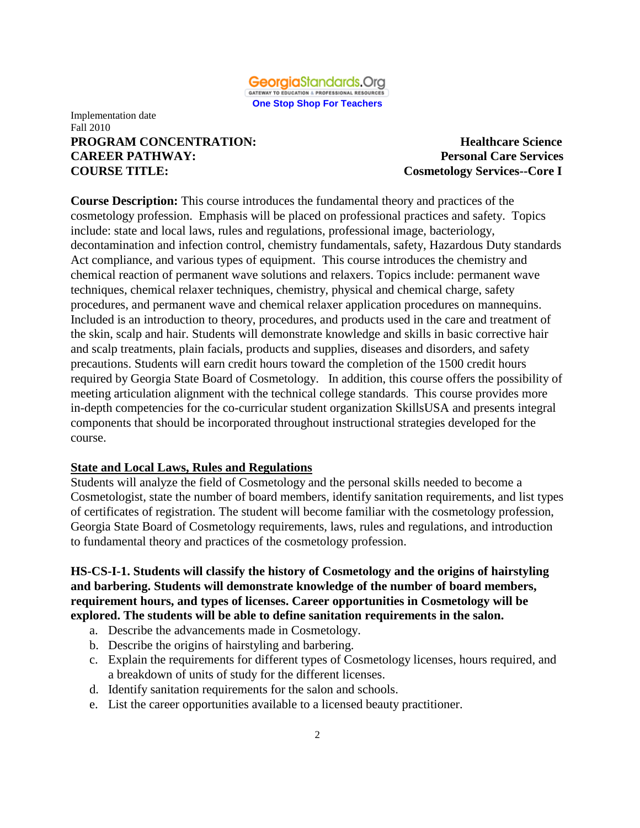

#### Implementation date Fall 2010 **PROGRAM CONCENTRATION: Healthcare Science CAREER PATHWAY: Personal Care Services COURSE TITLE: Cosmetology Services--Core I**

**Course Description:** This course introduces the fundamental theory and practices of the cosmetology profession. Emphasis will be placed on professional practices and safety. Topics include: state and local laws, rules and regulations, professional image, bacteriology, decontamination and infection control, chemistry fundamentals, safety, Hazardous Duty standards Act compliance, and various types of equipment. This course introduces the chemistry and chemical reaction of permanent wave solutions and relaxers. Topics include: permanent wave techniques, chemical relaxer techniques, chemistry, physical and chemical charge, safety procedures, and permanent wave and chemical relaxer application procedures on mannequins. Included is an introduction to theory, procedures, and products used in the care and treatment of the skin, scalp and hair. Students will demonstrate knowledge and skills in basic corrective hair and scalp treatments, plain facials, products and supplies, diseases and disorders, and safety precautions. Students will earn credit hours toward the completion of the 1500 credit hours required by Georgia State Board of Cosmetology. In addition, this course offers the possibility of meeting articulation alignment with the technical college standards. This course provides more in-depth competencies for the co-curricular student organization SkillsUSA and presents integral components that should be incorporated throughout instructional strategies developed for the course.

#### **State and Local Laws, Rules and Regulations**

Students will analyze the field of Cosmetology and the personal skills needed to become a Cosmetologist, state the number of board members, identify sanitation requirements, and list types of certificates of registration. The student will become familiar with the cosmetology profession, Georgia State Board of Cosmetology requirements, laws, rules and regulations, and introduction to fundamental theory and practices of the cosmetology profession.

**HS-CS-I-1. Students will classify the history of Cosmetology and the origins of hairstyling and barbering. Students will demonstrate knowledge of the number of board members, requirement hours, and types of licenses. Career opportunities in Cosmetology will be explored. The students will be able to define sanitation requirements in the salon.** 

- a. Describe the advancements made in Cosmetology.
- b. Describe the origins of hairstyling and barbering.
- c. Explain the requirements for different types of Cosmetology licenses, hours required, and a breakdown of units of study for the different licenses.
- d. Identify sanitation requirements for the salon and schools.
- e. List the career opportunities available to a licensed beauty practitioner.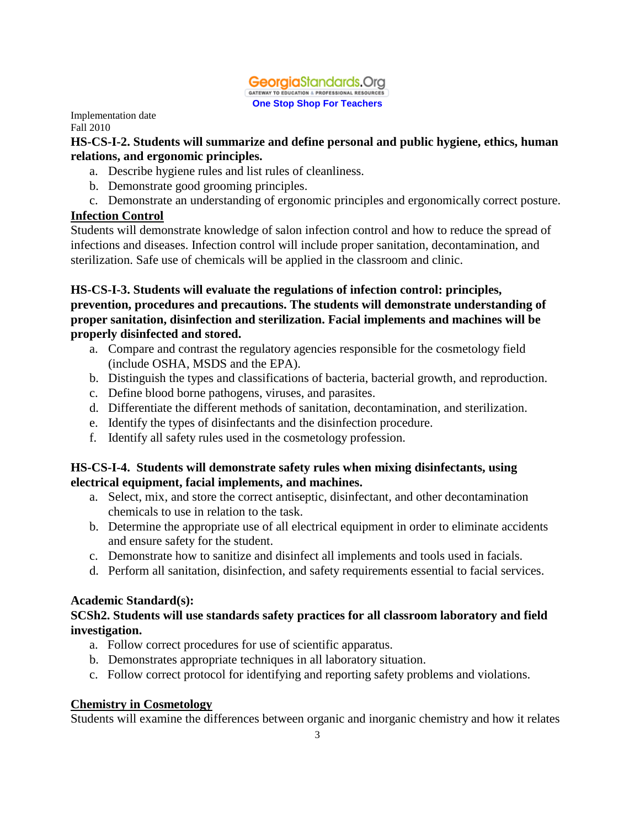

### **HS-CS-I-2. Students will summarize and define personal and public hygiene, ethics, human relations, and ergonomic principles.**

- a. Describe hygiene rules and list rules of cleanliness.
- b. Demonstrate good grooming principles.
- c. Demonstrate an understanding of ergonomic principles and ergonomically correct posture.

## **Infection Control**

Students will demonstrate knowledge of salon infection control and how to reduce the spread of infections and diseases. Infection control will include proper sanitation, decontamination, and sterilization. Safe use of chemicals will be applied in the classroom and clinic.

## **HS-CS-I-3. Students will evaluate the regulations of infection control: principles, prevention, procedures and precautions. The students will demonstrate understanding of proper sanitation, disinfection and sterilization. Facial implements and machines will be properly disinfected and stored.**

- a. Compare and contrast the regulatory agencies responsible for the cosmetology field (include OSHA, MSDS and the EPA).
- b. Distinguish the types and classifications of bacteria, bacterial growth, and reproduction.
- c. Define blood borne pathogens, viruses, and parasites.
- d. Differentiate the different methods of sanitation, decontamination, and sterilization.
- e. Identify the types of disinfectants and the disinfection procedure.
- f. Identify all safety rules used in the cosmetology profession.

### **HS-CS-I-4. Students will demonstrate safety rules when mixing disinfectants, using electrical equipment, facial implements, and machines.**

- a. Select, mix, and store the correct antiseptic, disinfectant, and other decontamination chemicals to use in relation to the task.
- b. Determine the appropriate use of all electrical equipment in order to eliminate accidents and ensure safety for the student.
- c. Demonstrate how to sanitize and disinfect all implements and tools used in facials.
- d. Perform all sanitation, disinfection, and safety requirements essential to facial services.

### **Academic Standard(s):**

## **SCSh2. Students will use standards safety practices for all classroom laboratory and field investigation.**

- a. Follow correct procedures for use of scientific apparatus.
- b. Demonstrates appropriate techniques in all laboratory situation.
- c. Follow correct protocol for identifying and reporting safety problems and violations.

## **Chemistry in Cosmetology**

Students will examine the differences between organic and inorganic chemistry and how it relates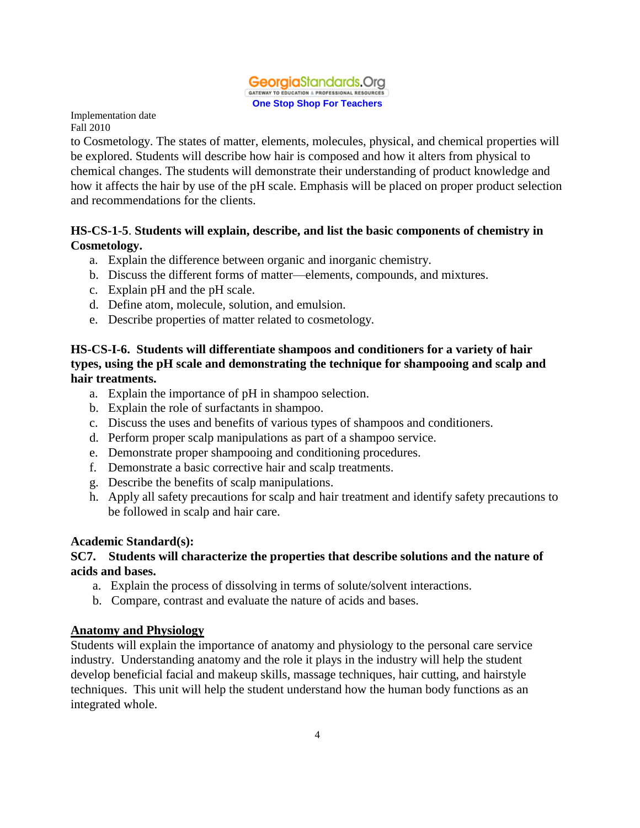

to Cosmetology. The states of matter, elements, molecules, physical, and chemical properties will be explored. Students will describe how hair is composed and how it alters from physical to chemical changes. The students will demonstrate their understanding of product knowledge and how it affects the hair by use of the pH scale. Emphasis will be placed on proper product selection and recommendations for the clients.

### **HS-CS-1-5**. **Students will explain, describe, and list the basic components of chemistry in Cosmetology.**

- a. Explain the difference between organic and inorganic chemistry.
- b. Discuss the different forms of matter—elements, compounds, and mixtures.
- c. Explain pH and the pH scale.
- d. Define atom, molecule, solution, and emulsion.
- e. Describe properties of matter related to cosmetology.

### **HS-CS-I-6. Students will differentiate shampoos and conditioners for a variety of hair types, using the pH scale and demonstrating the technique for shampooing and scalp and hair treatments.**

- a. Explain the importance of pH in shampoo selection.
- b. Explain the role of surfactants in shampoo.
- c. Discuss the uses and benefits of various types of shampoos and conditioners.
- d. Perform proper scalp manipulations as part of a shampoo service.
- e. Demonstrate proper shampooing and conditioning procedures.
- f. Demonstrate a basic corrective hair and scalp treatments.
- g. Describe the benefits of scalp manipulations.
- h. Apply all safety precautions for scalp and hair treatment and identify safety precautions to be followed in scalp and hair care.

### **Academic Standard(s):**

### **SC7. Students will characterize the properties that describe solutions and the nature of acids and bases.**

- a. Explain the process of dissolving in terms of solute/solvent interactions.
- b. Compare, contrast and evaluate the nature of acids and bases.

### **Anatomy and Physiology**

Students will explain the importance of anatomy and physiology to the personal care service industry. Understanding anatomy and the role it plays in the industry will help the student develop beneficial facial and makeup skills, massage techniques, hair cutting, and hairstyle techniques. This unit will help the student understand how the human body functions as an integrated whole.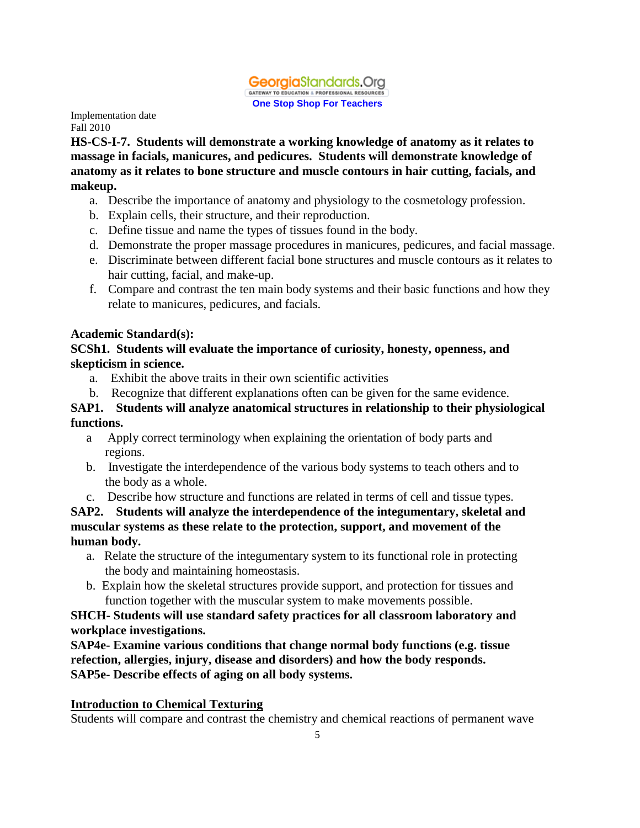

**HS-CS-I-7. Students will demonstrate a working knowledge of anatomy as it relates to massage in facials, manicures, and pedicures. Students will demonstrate knowledge of anatomy as it relates to bone structure and muscle contours in hair cutting, facials, and makeup.** 

- a. Describe the importance of anatomy and physiology to the cosmetology profession.
- b. Explain cells, their structure, and their reproduction.
- c. Define tissue and name the types of tissues found in the body.
- d. Demonstrate the proper massage procedures in manicures, pedicures, and facial massage.
- e. Discriminate between different facial bone structures and muscle contours as it relates to hair cutting, facial, and make-up.
- f. Compare and contrast the ten main body systems and their basic functions and how they relate to manicures, pedicures, and facials.

#### **Academic Standard(s):**

### **SCSh1. Students will evaluate the importance of curiosity, honesty, openness, and skepticism in science.**

- a. Exhibit the above traits in their own scientific activities
- b. Recognize that different explanations often can be given for the same evidence.

### **SAP1. Students will analyze anatomical structures in relationship to their physiological functions.**

- a Apply correct terminology when explaining the orientation of body parts and regions.
- b. Investigate the interdependence of the various body systems to teach others and to the body as a whole.
- c. Describe how structure and functions are related in terms of cell and tissue types.

**SAP2. Students will analyze the interdependence of the integumentary, skeletal and muscular systems as these relate to the protection, support, and movement of the human body.**

- a. Relate the structure of the integumentary system to its functional role in protecting the body and maintaining homeostasis.
- b. Explain how the skeletal structures provide support, and protection for tissues and function together with the muscular system to make movements possible.

### **SHCH- Students will use standard safety practices for all classroom laboratory and workplace investigations.**

**SAP4e- Examine various conditions that change normal body functions (e.g. tissue refection, allergies, injury, disease and disorders) and how the body responds. SAP5e- Describe effects of aging on all body systems.** 

### **Introduction to Chemical Texturing**

Students will compare and contrast the chemistry and chemical reactions of permanent wave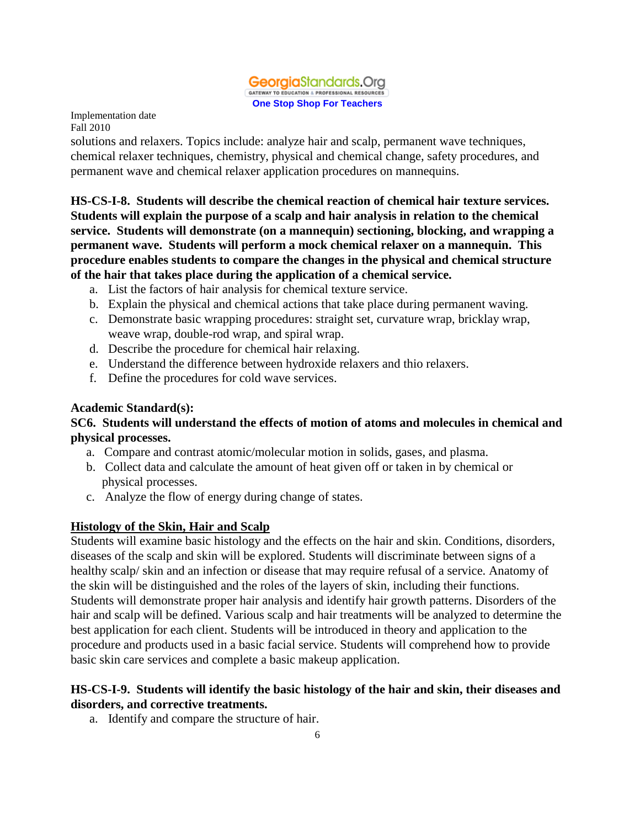

solutions and relaxers. Topics include: analyze hair and scalp, permanent wave techniques, chemical relaxer techniques, chemistry, physical and chemical change, safety procedures, and permanent wave and chemical relaxer application procedures on mannequins.

**HS-CS-I-8. Students will describe the chemical reaction of chemical hair texture services. Students will explain the purpose of a scalp and hair analysis in relation to the chemical service. Students will demonstrate (on a mannequin) sectioning, blocking, and wrapping a permanent wave. Students will perform a mock chemical relaxer on a mannequin. This procedure enables students to compare the changes in the physical and chemical structure of the hair that takes place during the application of a chemical service.** 

- a. List the factors of hair analysis for chemical texture service.
- b. Explain the physical and chemical actions that take place during permanent waving.
- c. Demonstrate basic wrapping procedures: straight set, curvature wrap, bricklay wrap, weave wrap, double-rod wrap, and spiral wrap.
- d. Describe the procedure for chemical hair relaxing.
- e. Understand the difference between hydroxide relaxers and thio relaxers.
- f. Define the procedures for cold wave services.

### **Academic Standard(s):**

### **SC6. Students will understand the effects of motion of atoms and molecules in chemical and physical processes.**

- a. Compare and contrast atomic/molecular motion in solids, gases, and plasma.
- b. Collect data and calculate the amount of heat given off or taken in by chemical or physical processes.
- c. Analyze the flow of energy during change of states.

### **Histology of the Skin, Hair and Scalp**

Students will examine basic histology and the effects on the hair and skin. Conditions, disorders, diseases of the scalp and skin will be explored. Students will discriminate between signs of a healthy scalp/ skin and an infection or disease that may require refusal of a service. Anatomy of the skin will be distinguished and the roles of the layers of skin, including their functions. Students will demonstrate proper hair analysis and identify hair growth patterns. Disorders of the hair and scalp will be defined. Various scalp and hair treatments will be analyzed to determine the best application for each client. Students will be introduced in theory and application to the procedure and products used in a basic facial service. Students will comprehend how to provide basic skin care services and complete a basic makeup application.

### **HS-CS-I-9. Students will identify the basic histology of the hair and skin, their diseases and disorders, and corrective treatments.**

a. Identify and compare the structure of hair.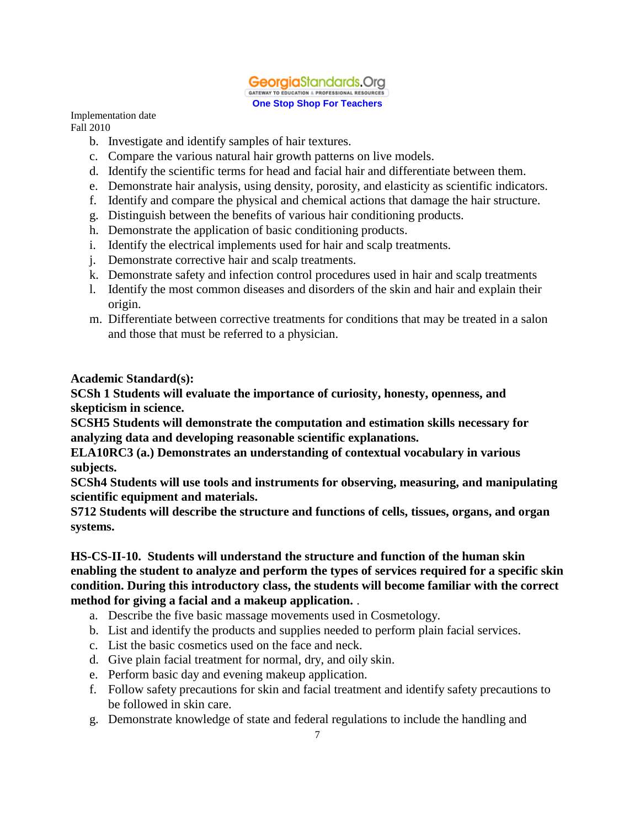

Implementation date

Fall 2010

- b. Investigate and identify samples of hair textures.
- c. Compare the various natural hair growth patterns on live models.
- d. Identify the scientific terms for head and facial hair and differentiate between them.
- e. Demonstrate hair analysis, using density, porosity, and elasticity as scientific indicators.
- f. Identify and compare the physical and chemical actions that damage the hair structure.
- g. Distinguish between the benefits of various hair conditioning products.
- h. Demonstrate the application of basic conditioning products.
- i. Identify the electrical implements used for hair and scalp treatments.
- j. Demonstrate corrective hair and scalp treatments.
- k. Demonstrate safety and infection control procedures used in hair and scalp treatments
- l. Identify the most common diseases and disorders of the skin and hair and explain their origin.
- m. Differentiate between corrective treatments for conditions that may be treated in a salon and those that must be referred to a physician.

## **Academic Standard(s):**

**SCSh 1 Students will evaluate the importance of curiosity, honesty, openness, and skepticism in science.**

**SCSH5 Students will demonstrate the computation and estimation skills necessary for analyzing data and developing reasonable scientific explanations.**

**ELA10RC3 (a.) Demonstrates an understanding of contextual vocabulary in various subjects.**

**SCSh4 Students will use tools and instruments for observing, measuring, and manipulating scientific equipment and materials.**

**S712 Students will describe the structure and functions of cells, tissues, organs, and organ systems.**

## **HS-CS-II-10. Students will understand the structure and function of the human skin enabling the student to analyze and perform the types of services required for a specific skin condition. During this introductory class, the students will become familiar with the correct method for giving a facial and a makeup application.** .

- a. Describe the five basic massage movements used in Cosmetology.
- b. List and identify the products and supplies needed to perform plain facial services.
- c. List the basic cosmetics used on the face and neck.
- d. Give plain facial treatment for normal, dry, and oily skin.
- e. Perform basic day and evening makeup application.
- f. Follow safety precautions for skin and facial treatment and identify safety precautions to be followed in skin care.
- g. Demonstrate knowledge of state and federal regulations to include the handling and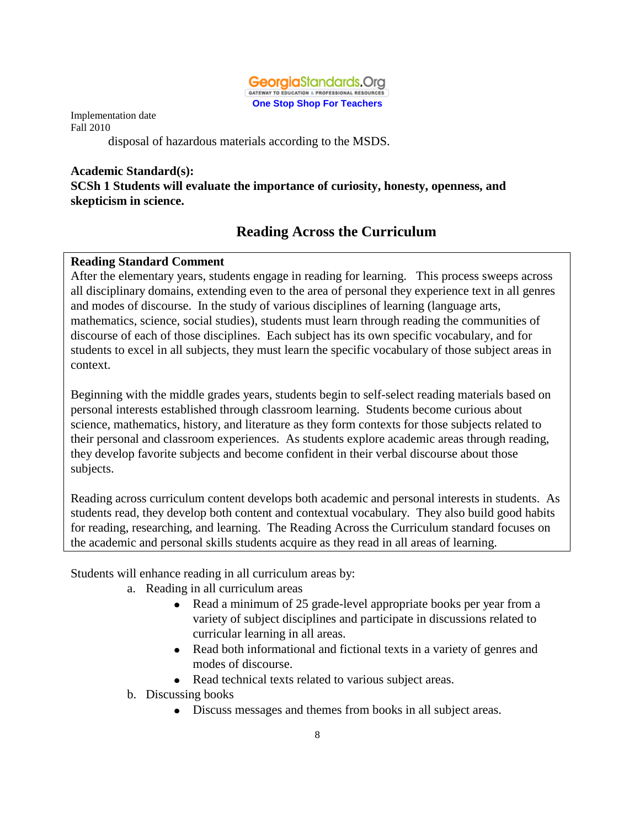

disposal of hazardous materials according to the MSDS.

#### **Academic Standard(s): SCSh 1 Students will evaluate the importance of curiosity, honesty, openness, and skepticism in science.**

# **Reading Across the Curriculum**

## **Reading Standard Comment**

After the elementary years, students engage in reading for learning. This process sweeps across all disciplinary domains, extending even to the area of personal they experience text in all genres and modes of discourse. In the study of various disciplines of learning (language arts, mathematics, science, social studies), students must learn through reading the communities of discourse of each of those disciplines. Each subject has its own specific vocabulary, and for students to excel in all subjects, they must learn the specific vocabulary of those subject areas in context.

Beginning with the middle grades years, students begin to self-select reading materials based on personal interests established through classroom learning. Students become curious about science, mathematics, history, and literature as they form contexts for those subjects related to their personal and classroom experiences. As students explore academic areas through reading, they develop favorite subjects and become confident in their verbal discourse about those subjects.

Reading across curriculum content develops both academic and personal interests in students. As students read, they develop both content and contextual vocabulary. They also build good habits for reading, researching, and learning. The Reading Across the Curriculum standard focuses on the academic and personal skills students acquire as they read in all areas of learning.

Students will enhance reading in all curriculum areas by:

- a. Reading in all curriculum areas
	- $\bullet$ Read a minimum of 25 grade-level appropriate books per year from a variety of subject disciplines and participate in discussions related to curricular learning in all areas.
	- Read both informational and fictional texts in a variety of genres and modes of discourse.
	- Read technical texts related to various subject areas.
- b. Discussing books
	- Discuss messages and themes from books in all subject areas.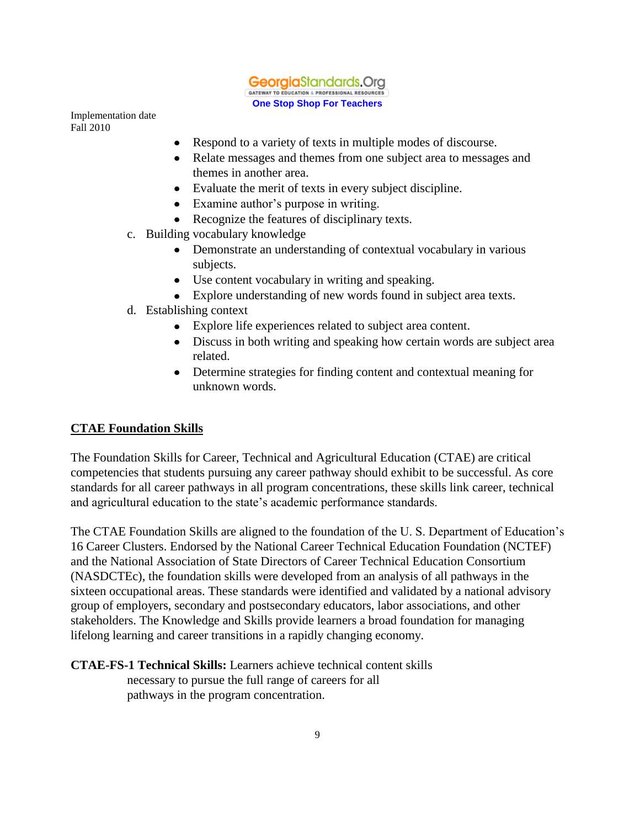

- $\bullet$ Respond to a variety of texts in multiple modes of discourse.
- Relate messages and themes from one subject area to messages and themes in another area.
- Evaluate the merit of texts in every subject discipline.
- Examine author's purpose in writing.
- Recognize the features of disciplinary texts.
- c. Building vocabulary knowledge
	- $\bullet$ Demonstrate an understanding of contextual vocabulary in various subjects.
	- Use content vocabulary in writing and speaking.
	- Explore understanding of new words found in subject area texts.
- d. Establishing context
	- Explore life experiences related to subject area content.
	- Discuss in both writing and speaking how certain words are subject area related.
	- Determine strategies for finding content and contextual meaning for unknown words.

### **CTAE Foundation Skills**

The Foundation Skills for Career, Technical and Agricultural Education (CTAE) are critical competencies that students pursuing any career pathway should exhibit to be successful. As core standards for all career pathways in all program concentrations, these skills link career, technical and agricultural education to the state's academic performance standards.

The CTAE Foundation Skills are aligned to the foundation of the U. S. Department of Education's 16 Career Clusters. Endorsed by the National Career Technical Education Foundation (NCTEF) and the National Association of State Directors of Career Technical Education Consortium (NASDCTEc), the foundation skills were developed from an analysis of all pathways in the sixteen occupational areas. These standards were identified and validated by a national advisory group of employers, secondary and postsecondary educators, labor associations, and other stakeholders. The Knowledge and Skills provide learners a broad foundation for managing lifelong learning and career transitions in a rapidly changing economy.

**CTAE-FS-1 Technical Skills:** Learners achieve technical content skills

 necessary to pursue the full range of careers for all pathways in the program concentration.